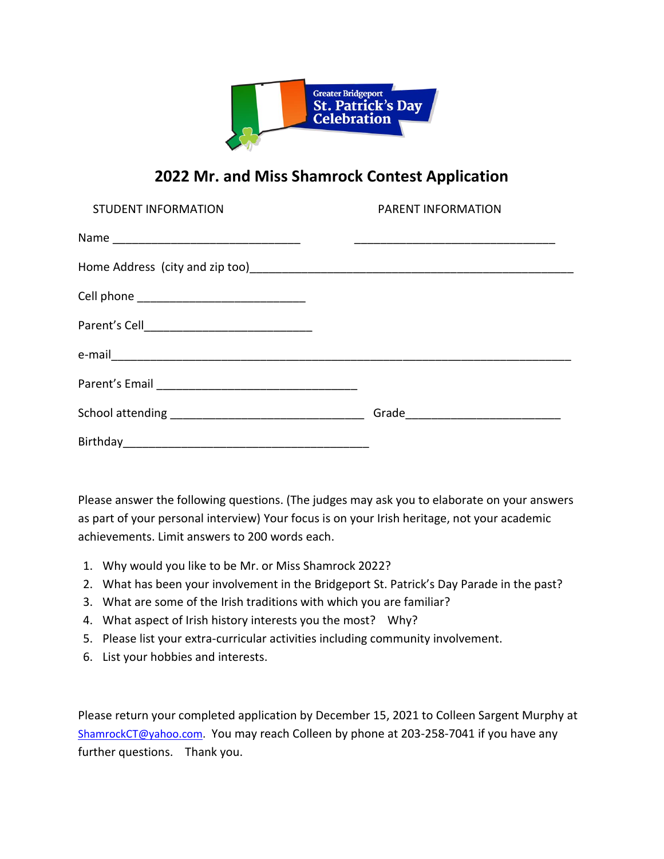

## **2022 Mr. and Miss Shamrock Contest Application**

| <b>STUDENT INFORMATION</b> | PARENT INFORMATION |
|----------------------------|--------------------|
|                            |                    |
|                            |                    |
|                            |                    |
|                            |                    |
|                            |                    |
|                            |                    |
|                            |                    |
|                            |                    |

Please answer the following questions. (The judges may ask you to elaborate on your answers as part of your personal interview) Your focus is on your Irish heritage, not your academic achievements. Limit answers to 200 words each.

- 1. Why would you like to be Mr. or Miss Shamrock 2022?
- 2. What has been your involvement in the Bridgeport St. Patrick's Day Parade in the past?
- 3. What are some of the Irish traditions with which you are familiar?
- 4. What aspect of Irish history interests you the most? Why?
- 5. Please list your extra-curricular activities including community involvement.
- 6. List your hobbies and interests.

Please return your completed application by December 15, 2021 to Colleen Sargent Murphy at [ShamrockCT@yahoo.com.](mailto:ShamrockCT@yahoo.com) You may reach Colleen by phone at 203-258-7041 if you have any further questions. Thank you.